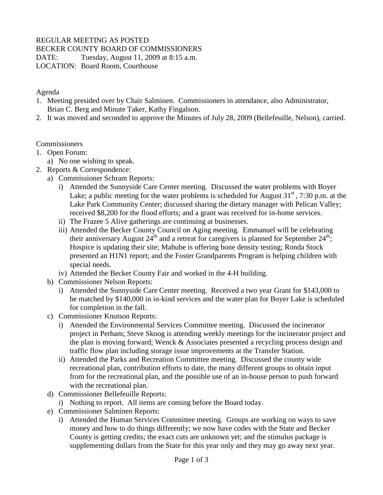# REGULAR MEETING AS POSTED

BECKER COUNTY BOARD OF COMMISSIONERS

DATE: Tuesday, August 11, 2009 at 8:15 a.m.

LOCATION: Board Room, Courthouse

### Agenda

- 1. Meeting presided over by Chair Salminen. Commissioners in attendance, also Administrator, Brian C. Berg and Minute Taker, Kathy Fingalson.
- 2. It was moved and seconded to approve the Minutes of July 28, 2009 (Bellefeuille, Nelson), carried.

### Commissioners

- 1. Open Forum:
	- a) No one wishing to speak.
- 2. Reports & Correspondence:
	- a) Commissioner Schram Reports:
		- i) Attended the Sunnyside Care Center meeting. Discussed the water problems with Boyer Lake; a public meeting for the water problems is scheduled for August  $31<sup>st</sup>$ , 7:30 p.m. at the Lake Park Community Center; discussed sharing the dietary manager with Pelican Valley; received \$8,200 for the flood efforts; and a grant was received for in-home services.
		- ii) The Frazee 5 Alive gatherings are continuing at businesses.
		- iii) Attended the Becker County Council on Aging meeting. Emmanuel will be celebrating their anniversary August  $24<sup>th</sup>$  and a retreat for caregivers is planned for September  $24<sup>th</sup>$ ; Hospice is updating their site; Mahube is offering bone density testing; Ronda Stock presented an H1N1 report; and the Foster Grandparents Program is helping children with special needs.
		- iv) Attended the Becker County Fair and worked in the 4-H building.
	- b) Commissioner Nelson Reports:
		- i) Attended the Sunnyside Care Center meeting. Received a two year Grant for \$143,000 to be matched by \$140,000 in in-kind services and the water plan for Boyer Lake is scheduled for completion in the fall.
	- c) Commissioner Knutson Reports:
		- i) Attended the Environmental Services Committee meeting. Discussed the incinerator project in Perham; Steve Skoog is attending weekly meetings for the incinerator project and the plan is moving forward; Wenck & Associates presented a recycling process design and traffic flow plan including storage issue improvements at the Transfer Station.
		- ii) Attended the Parks and Recreation Committee meeting. Discussed the county wide recreational plan, contribution efforts to date, the many different groups to obtain input from for the recreational plan, and the possible use of an in-house person to push forward with the recreational plan.
	- d) Commissioner Bellefeuille Reports:
		- i) Nothing to report. All items are coming before the Board today.
	- e) Commissioner Salminen Reports:
		- i) Attended the Human Services Committee meeting. Groups are working on ways to save money and how to do things differently; we now have codes with the State and Becker County is getting credits; the exact cuts are unknown yet; and the stimulus package is supplementing dollars from the State for this year only and they may go away next year.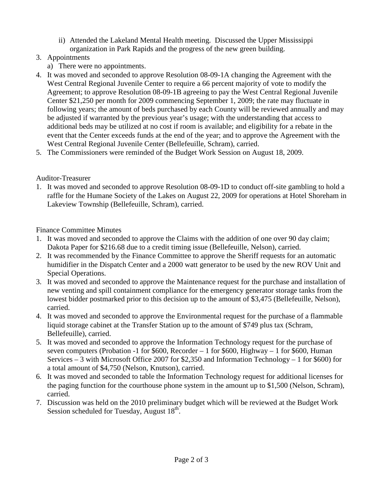- ii) Attended the Lakeland Mental Health meeting. Discussed the Upper Mississippi organization in Park Rapids and the progress of the new green building.
- 3. Appointments
	- a) There were no appointments.
- 4. It was moved and seconded to approve Resolution 08-09-1A changing the Agreement with the West Central Regional Juvenile Center to require a 66 percent majority of vote to modify the Agreement; to approve Resolution 08-09-1B agreeing to pay the West Central Regional Juvenile Center \$21,250 per month for 2009 commencing September 1, 2009; the rate may fluctuate in following years; the amount of beds purchased by each County will be reviewed annually and may be adjusted if warranted by the previous year's usage; with the understanding that access to additional beds may be utilized at no cost if room is available; and eligibility for a rebate in the event that the Center exceeds funds at the end of the year; and to approve the Agreement with the West Central Regional Juvenile Center (Bellefeuille, Schram), carried.
- 5. The Commissioners were reminded of the Budget Work Session on August 18, 2009.

#### Auditor-Treasurer

1. It was moved and seconded to approve Resolution 08-09-1D to conduct off-site gambling to hold a raffle for the Humane Society of the Lakes on August 22, 2009 for operations at Hotel Shoreham in Lakeview Township (Bellefeuille, Schram), carried.

Finance Committee Minutes

- 1. It was moved and seconded to approve the Claims with the addition of one over 90 day claim; Dakota Paper for \$216.68 due to a credit timing issue (Bellefeuille, Nelson), carried.
- 2. It was recommended by the Finance Committee to approve the Sheriff requests for an automatic humidifier in the Dispatch Center and a 2000 watt generator to be used by the new ROV Unit and Special Operations.
- 3. It was moved and seconded to approve the Maintenance request for the purchase and installation of new venting and spill containment compliance for the emergency generator storage tanks from the lowest bidder postmarked prior to this decision up to the amount of \$3,475 (Bellefeuille, Nelson), carried.
- 4. It was moved and seconded to approve the Environmental request for the purchase of a flammable liquid storage cabinet at the Transfer Station up to the amount of \$749 plus tax (Schram, Bellefeuille), carried.
- 5. It was moved and seconded to approve the Information Technology request for the purchase of seven computers (Probation -1 for \$600, Recorder – 1 for \$600, Highway – 1 for \$600, Human Services – 3 with Microsoft Office 2007 for \$2,350 and Information Technology – 1 for \$600) for a total amount of \$4,750 (Nelson, Knutson), carried.
- 6. It was moved and seconded to table the Information Technology request for additional licenses for the paging function for the courthouse phone system in the amount up to \$1,500 (Nelson, Schram), carried.
- 7. Discussion was held on the 2010 preliminary budget which will be reviewed at the Budget Work Session scheduled for Tuesday, August  $18<sup>th</sup>$ .